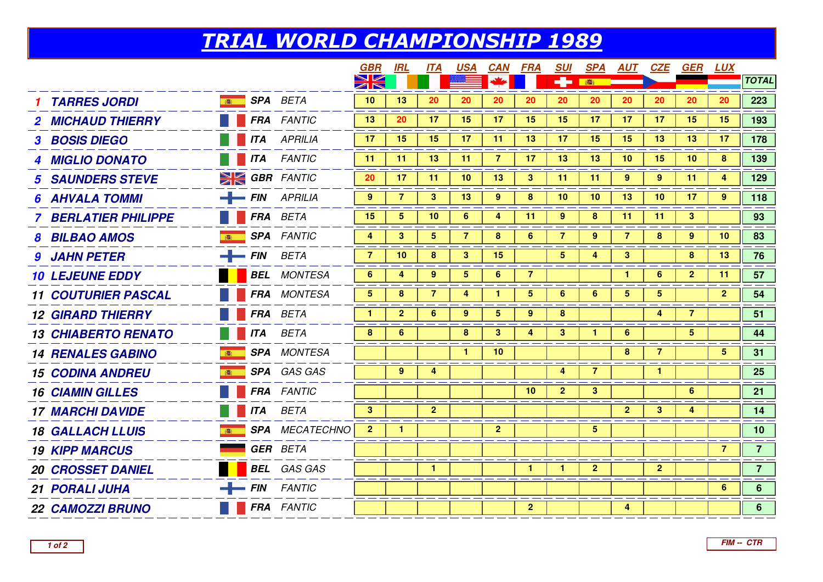## TRIAL WORLD CHAMPIONSHIP 1989

|                                        |            |                       | <b>GBR</b>     | IRL             | <b>ITA</b>     | <b>USA</b>      | CAN             | FRA             | <b>SUI</b>     | <b>SPA</b>     | <b>AUT</b>     | <b>CZE</b>     | GER             | <u>LUX</u>      |                 |
|----------------------------------------|------------|-----------------------|----------------|-----------------|----------------|-----------------|-----------------|-----------------|----------------|----------------|----------------|----------------|-----------------|-----------------|-----------------|
|                                        |            |                       | XK             |                 |                |                 |                 |                 | ÷              | 春              |                |                |                 |                 | <b>TOTAL</b>    |
| <b>SPA</b> BETA<br><b>TARRES JORDI</b> |            |                       | 10             | 13              | 20             | 20              | 20              | 20              | 20             | 20             | 20             | 20             | 20              | 20              | 223             |
| <b>2 MICHAUD THIERRY</b>               |            | <b>FRA</b> FANTIC     | 13             | 20              | 17             | 15              | 17              | 15              | 15             | 17             | 17             | 17             | 15              | 15              | 193             |
| <b>3 BOSIS DIEGO</b>                   |            | <b>ITA</b> APRILIA    | 17             | 15              | 15             | 17              | 11              | 13              | 17             | 15             | 15             | 13             | 13              | 17              | 178             |
| 4 MIGLIO DONATO                        |            | <b>THE ITA FANTIC</b> | 11             | 11              | 13             | 11              | $\overline{7}$  | 17              | 13             | 13             | 10             | 15             | 10              | 8               | 139             |
| <b>5 SAUNDERS STEVE</b>                |            | <b>SK GBR</b> FANTIC  | 20             | 17              | 11             | 10 <sup>°</sup> | 13 <sup>°</sup> | $\mathbf{3}$    | 11             | -11            | 9              | 9              | 11              | 4               | 129             |
| <b>6 AHVALA TOMMI</b>                  |            | $-$ FIN APRILIA       | $9^{\circ}$    | $\overline{7}$  | 3              | 13              | $9^{\circ}$     | 8               | 10             | 10             | 13             | 10             | 17              | 9               | 118             |
| <b>BERLATIER PHILIPPE</b>              |            | <b>FRA</b> BETA       | 15             | $5\overline{)}$ | 10             | 6               | 4               | 11              | 9              | 8              | 11             | 11             | $\mathbf{3}$    |                 | 93              |
| <b>8 BILBAO AMOS</b>                   |            | <b>SPA</b> FANTIC     | 4              | 3               | 5              | 7               | 8               | 6               | $\overline{7}$ | 9              | 7              | 8              | 9               | 10 <sup>°</sup> | 83              |
| $-$ FIN BETA<br><b>9 JAHN PETER</b>    |            |                       | $\overline{7}$ | 10              | 8              | 3 <sup>1</sup>  | 15              |                 | 5 <sub>5</sub> | 4              | 3 <sup>2</sup> |                | 8               | 13              | 76              |
| <b>10 LEJEUNE EDDY</b>                 |            | <b>BEL</b> MONTESA    | 6              | 4               | 9              | $5\phantom{.0}$ | $6\phantom{1}$  | $\overline{7}$  |                |                | $\mathbf{1}$   | 6              | 2 <sup>1</sup>  | 11              | 57              |
| <b>11 COUTURIER PASCAL</b>             |            | <b>FRA</b> MONTESA    | 5              | 8               | $\overline{7}$ | 4               | 1.              | $\overline{5}$  | 6              | 6              | 5              | 5              |                 | $\overline{2}$  | 54              |
| <b>12 GIRARD THIERRY</b>               |            | <b>FRA</b> BETA       | $\mathbf{1}$   | $\overline{2}$  | 6              | 9               | 5               | 9               | 8              |                |                | 4              | $\overline{7}$  |                 | 51              |
| <b>13 CHIABERTO RENATO</b>             | <b>ITA</b> | <b>BETA</b>           | 8              | 6               |                | 8               | $3^{\circ}$     | 4               | 3              | $\mathbf{1}$   | 6              |                | $5\overline{5}$ |                 | 44              |
| <b>14 RENALES GABINO</b>               |            | <b>SPA</b> MONTESA    |                |                 |                | 1.              | 10 <sup>°</sup> |                 |                |                | 8              | $\overline{7}$ |                 | 5               | 31              |
| <b>15 CODINA ANDREU</b>                |            | SPA GAS GAS           |                | 9               | 4              |                 |                 |                 | 4              | $\overline{7}$ |                | $\mathbf{1}$   |                 |                 | 25              |
| <b>16 CIAMIN GILLES</b>                |            | <b>FRA</b> FANTIC     |                |                 |                |                 |                 | 10 <sub>1</sub> | $\overline{2}$ | $\mathbf{3}$   |                |                | 6               |                 | 21              |
| <b>17 MARCHI DAVIDE</b>                |            | <b>ITA</b> BETA       | 3 <sup>1</sup> |                 | $\overline{2}$ |                 |                 |                 |                |                | 2 <sup>1</sup> | 3 <sup>1</sup> | 4               |                 | 14              |
| <b>18 GALLACH LLUIS</b>                |            | <b>SPA</b> MECATECHNO | $\overline{2}$ | 1               |                |                 | 2 <sup>1</sup>  |                 |                | 5              |                |                |                 |                 | 10 <sub>1</sub> |
| <b>19 KIPP MARCUS</b>                  |            | <b>GER</b> BETA       |                |                 |                |                 |                 |                 |                |                |                |                |                 | 7               | 7 <sup>7</sup>  |
| <b>20 CROSSET DANIEL</b>               |            | <b>BEL</b> GAS GAS    |                |                 | $\mathbf{1}$   |                 |                 | $\mathbf{1}$    | $\mathbf{1}$   | $\mathbf{2}$   |                | 2 <sup>1</sup> |                 |                 | 7 <sup>7</sup>  |
| 21 PORALI JUHA                         |            | $-$ FIN FANTIC        |                |                 |                |                 |                 |                 |                |                |                |                |                 | 6               | 6 <sup>1</sup>  |
| <b>22 CAMOZZI BRUNO</b>                |            | FRA FANTIC            |                |                 |                |                 |                 | 2 <sup>1</sup>  |                |                | 4              |                |                 |                 | 6 <sup>1</sup>  |
|                                        |            |                       |                |                 |                |                 |                 |                 |                |                |                |                |                 |                 |                 |